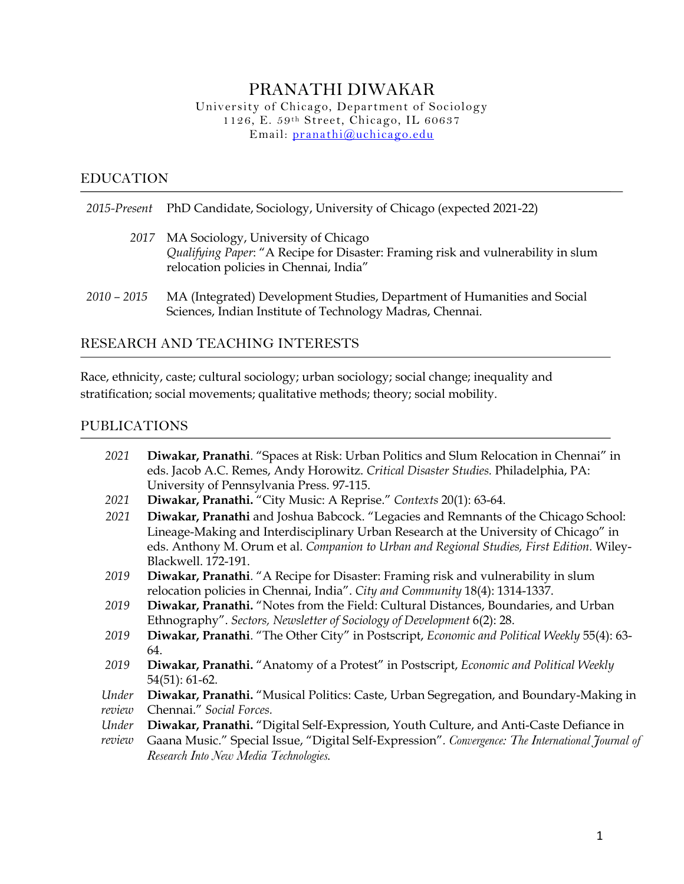# PRANATHI DIWAKAR

University of Chicago, Department of Sociology 1126, E. 59th Street, Chicago, IL 60637 Email: pranathi@uchicago.edu

#### EDUCATION

|               | 2015-Present PhD Candidate, Sociology, University of Chicago (expected 2021-22)                                                                                        |
|---------------|------------------------------------------------------------------------------------------------------------------------------------------------------------------------|
|               | 2017 MA Sociology, University of Chicago<br>Qualifying Paper: "A Recipe for Disaster: Framing risk and vulnerability in slum<br>relocation policies in Chennai, India" |
| $2010 - 2015$ | MA (Integrated) Development Studies, Department of Humanities and Social<br>Sciences, Indian Institute of Technology Madras, Chennai.                                  |

#### RESEARCH AND TEACHING INTERESTS

Race, ethnicity, caste; cultural sociology; urban sociology; social change; inequality and stratification; social movements; qualitative methods; theory; social mobility.

### PUBLICATIONS

| 2021            | Diwakar, Pranathi. "Spaces at Risk: Urban Politics and Slum Relocation in Chennai" in                                                                                                                                                                                                            |
|-----------------|--------------------------------------------------------------------------------------------------------------------------------------------------------------------------------------------------------------------------------------------------------------------------------------------------|
|                 | eds. Jacob A.C. Remes, Andy Horowitz. Critical Disaster Studies. Philadelphia, PA:<br>University of Pennsylvania Press. 97-115.                                                                                                                                                                  |
| 2021            | Diwakar, Pranathi. "City Music: A Reprise." Contexts 20(1): 63-64.                                                                                                                                                                                                                               |
| 2021            | Diwakar, Pranathi and Joshua Babcock. "Legacies and Remnants of the Chicago School:<br>Lineage-Making and Interdisciplinary Urban Research at the University of Chicago" in<br>eds. Anthony M. Orum et al. Companion to Urban and Regional Studies, First Edition. Wiley-<br>Blackwell. 172-191. |
| 2019            | Diwakar, Pranathi. "A Recipe for Disaster: Framing risk and vulnerability in slum<br>relocation policies in Chennai, India". City and Community 18(4): 1314-1337.                                                                                                                                |
| 2019            | Diwakar, Pranathi. "Notes from the Field: Cultural Distances, Boundaries, and Urban<br>Ethnography". Sectors, Newsletter of Sociology of Development 6(2): 28.                                                                                                                                   |
| 2019            | Diwakar, Pranathi. "The Other City" in Postscript, Economic and Political Weekly 55(4): 63-<br>64.                                                                                                                                                                                               |
| 2019            | Diwakar, Pranathi. "Anatomy of a Protest" in Postscript, Economic and Political Weekly<br>$54(51): 61-62.$                                                                                                                                                                                       |
| Under<br>review | Diwakar, Pranathi. "Musical Politics: Caste, Urban Segregation, and Boundary-Making in<br>Chennai." Social Forces.                                                                                                                                                                               |
| Under<br>review | Diwakar, Pranathi. "Digital Self-Expression, Youth Culture, and Anti-Caste Defiance in<br>Gaana Music." Special Issue, "Digital Self-Expression". Convergence: The International Journal of<br>Research Into New Media Technologies.                                                             |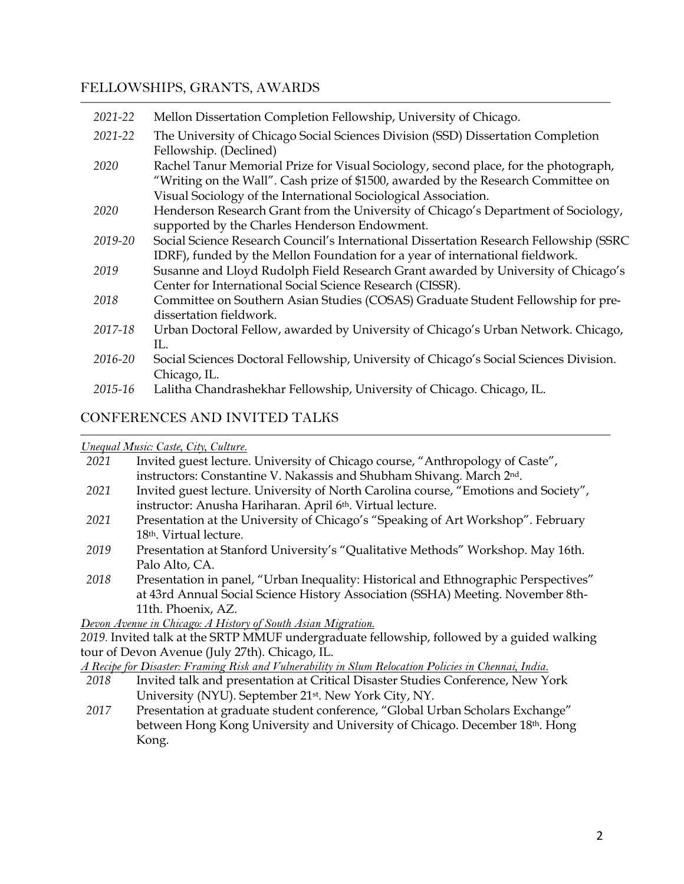# FELLOWSHIPS, GRANTS, AWARDS

| 2021-22 | Mellon Dissertation Completion Fellowship, University of Chicago.                                                                                                                                                                           |
|---------|---------------------------------------------------------------------------------------------------------------------------------------------------------------------------------------------------------------------------------------------|
| 2021-22 | The University of Chicago Social Sciences Division (SSD) Dissertation Completion<br>Fellowship. (Declined)                                                                                                                                  |
| 2020    | Rachel Tanur Memorial Prize for Visual Sociology, second place, for the photograph,<br>"Writing on the Wall". Cash prize of \$1500, awarded by the Research Committee on<br>Visual Sociology of the International Sociological Association. |
| 2020    | Henderson Research Grant from the University of Chicago's Department of Sociology,<br>supported by the Charles Henderson Endowment.                                                                                                         |
| 2019-20 | Social Science Research Council's International Dissertation Research Fellowship (SSRC<br>IDRF), funded by the Mellon Foundation for a year of international fieldwork.                                                                     |
| 2019    | Susanne and Lloyd Rudolph Field Research Grant awarded by University of Chicago's<br>Center for International Social Science Research (CISSR).                                                                                              |
| 2018    | Committee on Southern Asian Studies (COSAS) Graduate Student Fellowship for pre-<br>dissertation fieldwork.                                                                                                                                 |
| 2017-18 | Urban Doctoral Fellow, awarded by University of Chicago's Urban Network. Chicago,<br>П.                                                                                                                                                     |
| 2016-20 | Social Sciences Doctoral Fellowship, University of Chicago's Social Sciences Division.<br>Chicago, IL.                                                                                                                                      |
| 2015-16 | Lalitha Chandrashekhar Fellowship, University of Chicago. Chicago, IL.                                                                                                                                                                      |

# CONFERENCES AND INVITED TALKS

#### *Unequal Music: Caste, City, Culture.*

| 2021                                           | Invited guest lecture. University of Chicago course, "Anthropology of Caste",              |  |
|------------------------------------------------|--------------------------------------------------------------------------------------------|--|
|                                                | instructors: Constantine V. Nakassis and Shubham Shivang. March 2nd.                       |  |
| 2021                                           | Invited guest lecture. University of North Carolina course, "Emotions and Society",        |  |
|                                                | instructor: Anusha Hariharan. April 6th. Virtual lecture.                                  |  |
| 2021                                           | Presentation at the University of Chicago's "Speaking of Art Workshop". February           |  |
|                                                | 18 <sup>th</sup> . Virtual lecture.                                                        |  |
| 2019                                           | Presentation at Stanford University's "Qualitative Methods" Workshop. May 16th.            |  |
|                                                | Palo Alto, CA.                                                                             |  |
| 2018                                           | Presentation in panel, "Urban Inequality: Historical and Ethnographic Perspectives"        |  |
|                                                | at 43rd Annual Social Science History Association (SSHA) Meeting. November 8th-            |  |
|                                                | 11th. Phoenix, AZ.                                                                         |  |
|                                                | Devon Avenue in Chicago: A History of South Asian Migration.                               |  |
|                                                | 2019. Invited talk at the SRTP MMUF undergraduate fellowship, followed by a guided walking |  |
| tour of Devon Avenue (July 27th). Chicago, IL. |                                                                                            |  |

*A Recipe for Disaster: Framing Risk and Vulnerability in Slum Relocation Policies in Chennai, India.* 

- 2018 Invited talk and presentation at Critical Disaster Studies Conference, New York University (NYU). September 21st. New York City, NY.
- *2017* Presentation at graduate student conference, "Global Urban Scholars Exchange" between Hong Kong University and University of Chicago. December 18th. Hong Kong.